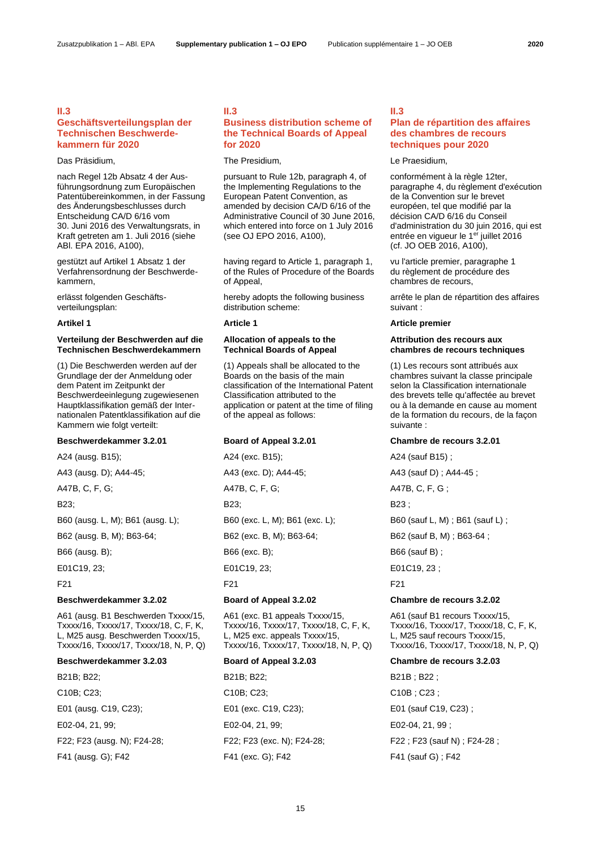# **II.3**

# **Geschäftsverteilungsplan der Technischen Beschwerdekammern für 2020**

nach Regel 12b Absatz 4 der Ausführungsordnung zum Europäischen Patentübereinkommen, in der Fassung des Änderungsbeschlusses durch Entscheidung CA/D 6/16 vom 30. Juni 2016 des Verwaltungsrats, in Kraft getreten am 1. Juli 2016 (siehe ABl. EPA 2016, A100),

gestützt auf Artikel 1 Absatz 1 der Verfahrensordnung der Beschwerdekammern,

erlässt folgenden Geschäftsverteilungsplan:

# **Verteilung der Beschwerden auf die Technischen Beschwerdekammern**

(1) Die Beschwerden werden auf der Grundlage der der Anmeldung oder dem Patent im Zeitpunkt der Beschwerdeeinlegung zugewiesenen Hauptklassifikation gemäß der Internationalen Patentklassifikation auf die Kammern wie folgt verteilt:

B23; B23; B23 ;

A61 (ausg. B1 Beschwerden Txxxx/15, Txxxx/16, Txxxx/17, Txxxx/18, C, F, K, L, M25 ausg. Beschwerden Txxxx/15, Txxxx/16, Txxxx/17, Txxxx/18, N, P, Q)

B21B; B22; B21B; B22; B21B; B22; B21B; B22;

# **II.3 Business distribution scheme of the Technical Boards of Appeal for 2020**

# Das Präsidium, The Presidium, The Presidium, The Presidium, Cas Praesidium,

pursuant to Rule 12b, paragraph 4, of the Implementing Regulations to the European Patent Convention, as amended by decision CA/D 6/16 of the Administrative Council of 30 June 2016, which entered into force on 1 July 2016 (see OJ EPO 2016, A100),

having regard to Article 1, paragraph 1, of the Rules of Procedure of the Boards of Appeal,

hereby adopts the following business distribution scheme:

# **Allocation of appeals to the Technical Boards of Appeal**

(1) Appeals shall be allocated to the Boards on the basis of the main classification of the International Patent Classification attributed to the application or patent at the time of filing of the appeal as follows:

A24 (ausg. B15); A24 (exc. B15); A24 (exc. B15); A24 (sauf B15);

A47B, C, F, G; A47B, C, F, G; A47B, C, F, G;

B66 (ausg. B); B66 (exc. B); B66 (exc. B); B66 (sauf B) ;

E01C19, 23; E01C19, 23; E01C19, 23; E01C19, 23;

F21 F21 F21

A61 (exc. B1 appeals Txxxx/15, Txxxx/16, Txxxx/17, Txxxx/18, C, F, K, L, M25 exc. appeals Txxxx/15, Txxxx/16, Txxxx/17, Txxxx/18, N, P, Q)

C10B; C23; C10B; C23; C10B; C23; C10B; C23; E01 (ausg. C19, C23); E01 (exc. C19, C23); E01 (sauf C19, C23) ; E02-04, 21, 99; E02-04, 21, 99; E02-04, 21, 99 ; F41 (ausg. G); F42 F41 (exc. G); F42 F41 (sauf G) ; F42

# **II.3**

# **Plan de répartition des affaires des chambres de recours techniques pour 2020**

conformément à la règle 12ter, paragraphe 4, du règlement d'exécution de la Convention sur le brevet européen, tel que modifié par la décision CA/D 6/16 du Conseil d'administration du 30 juin 2016, qui est entrée en vigueur le 1<sup>er</sup> juillet 2016 (cf. JO OEB 2016, A100),

vu l'article premier, paragraphe 1 du règlement de procédure des chambres de recours,

arrête le plan de répartition des affaires suivant :

# **Artikel 1 Article 1 Article premier**

# **Attribution des recours aux chambres de recours techniques**

(1) Les recours sont attribués aux chambres suivant la classe principale selon la Classification internationale des brevets telle qu'affectée au brevet ou à la demande en cause au moment de la formation du recours, de la façon suivante :

# **Beschwerdekammer 3.2.01 Board of Appeal 3.2.01 Chambre de recours 3.2.01**

A43 (ausg. D); A44-45; A43 (exc. D); A44-45; A43 (sauf D) ; A44-45;

B60 (ausg. L, M); B61 (ausg. L); B60 (exc. L, M); B61 (exc. L); B60 (sauf L, M) ; B61 (sauf L) ;

B62 (ausg. B, M); B63-64; B62 (exc. B, M); B63-64; B62 (sauf B, M); B63-64;

# **Beschwerdekammer 3.2.02 Board of Appeal 3.2.02 Chambre de recours 3.2.02**

A61 (sauf B1 recours Txxxx/15, Txxxx/16, Txxxx/17, Txxxx/18, C, F, K, L, M25 sauf recours Txxxx/15, Txxxx/16, Txxxx/17, Txxxx/18, N, P, Q)

# **Beschwerdekammer 3.2.03 Board of Appeal 3.2.03 Chambre de recours 3.2.03**

F22; F23 (ausg. N); F24-28; F22; F23 (exc. N); F24-28; F22 ; F23 (sauf N) ; F24-28 ;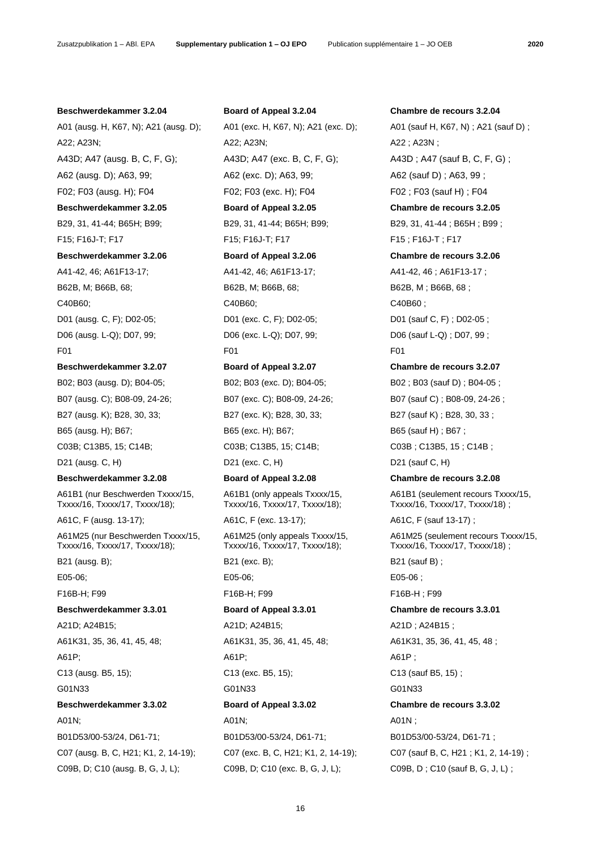# **Beschwerdekammer 3.2.04 Board of Appeal 3.2.04 Chambre de recours 3.2.04**

A01 (ausg. H, K67, N); A21 (ausg. D); A01 (exc. H, K67, N); A21 (exc. D); A01 (sauf H, K67, N) ; A21 (sauf D) ; A22; A23N; A22; A23N; A22; A23N; A22; A23N; A43D; A47 (ausg. B, C, F, G); <br>A43D; A47 (exc. B, C, F, G); <br>A43D; A43D ; A47 (sauf B, C, F, G) ; A62 (ausg. D); A63, 99; A62 (exc. D); A63, 99; A62 (sauf D) ; A63, 99 ; A62 (sauf D) ; A63, 99 ; F02; F03 (ausg. H); F04 F02; F03 (exc. H); F04 F02 ; F03 (sauf H) ; F04 **Beschwerdekammer 3.2.05 Board of Appeal 3.2.05 Chambre de recours 3.2.05** B29, 31, 41-44; B65H; B99; B29, 31, 41-44; B65H; B99; B29, 31, 41-44; B65H; B99; F15; F16J-T; F17 F15; F16J-T; F17 F15 ; F16J-T ; F17 **Beschwerdekammer 3.2.06 Board of Appeal 3.2.06 Chambre de recours 3.2.06** A41-42, 46; A61F13-17; A41-42, 46; A61F13-17; A41-42, 46 ; A61F13-17 ; B62B, M; B66B, 68; B62B, M; B66B, 68; B62B, M; B66B, 68; B62B, M; B66B, 68; C40B60; C40B60; C40B60 ; D01 (ausg. C, F); D02-05; D01 (exc. C, F); D02-05; D01 (sauf C, F) ; D02-05 ; D06 (ausg. L-Q); D07, 99; D06 (exc. L-Q); D07, 99; D06 (sauf L-Q) ; D07, 99 ; F01 F01 F01 **Beschwerdekammer 3.2.07 Board of Appeal 3.2.07 Chambre de recours 3.2.07**

B07 (ausg. C); B08-09, 24-26; B07 (exc. C); B08-09, 24-26; B07 (sauf C); B08-09, 24-26; B27 (ausg. K); B28, 30, 33; B27 (exc. K); B28, 30, 33; B27 (sauf K) ; B28, 30, 33 ; B65 (ausg. H); B67; B67; B65 (exc. H); B67; B65 (sauf H) ; B67 ; C03B; C13B5, 15; C14B; C03B; C13B5, 15; C14B; C03B ; C13B5, 15; C14B ; D21 (ausg. C, H) D21 (exc. C, H) D21 (sauf C, H)

A61B1 (nur Beschwerden Txxxx/15, Txxxx/16, Txxxx/17, Txxxx/18);

A61M25 (nur Beschwerden Txxxx/15, Txxxx/16, Txxxx/17, Txxxx/18);

A61P; A61P; A61P ;

# A01N; A01N; A01N ;

C07 (ausg. B, C, H21; K1, 2, 14-19); C07 (exc. B, C, H21; K1, 2, 14-19); C07 (sauf B, C, H21 ; K1, 2, 14-19) ; C09B, D; C10 (ausg. B, G, J, L); C09B, D; C10 (exc. B, G, J, L); C09B, D ; C10 (sauf B, G, J, L) ;

A61B1 (only appeals Txxxx/15, Txxxx/16, Txxxx/17, Txxxx/18);

A61M25 (only appeals Txxxx/15, Txxxx/16, Txxxx/17, Txxxx/18);

E05-06; E05-06; E05-06 ;

A21D; A24B15; A21D; A24B15; A21D ; A24B15 ; C13 (ausg. B5, 15); C13 (exc. B5, 15); C13 (sauf B5, 15) ; G01N33 G01N33 G01N33

B01D53/00-53/24, D61-71; B01D53/00-53/24, D61-71; B01D53/00-53/24, D61-71 ;

B02; B03 (ausg. D); B04-05; B02; B03 (exc. D); B04-05; B02 ; B03 (sauf D) ; B04-05 ; **Beschwerdekammer 3.2.08 Board of Appeal 3.2.08 Chambre de recours 3.2.08** A61B1 (seulement recours Txxxx/15, Txxxx/16, Txxxx/17, Txxxx/18) ; A61C, F (ausg. 13-17); A61C, F (exc. 13-17); A61C, F (sauf 13-17); A61M25 (seulement recours Txxxx/15, Txxxx/16, Txxxx/17, Txxxx/18) ; B21 (ausg. B); B21 (exc. B); B21 (exc. B); B21 (sauf B) ; F16B-H; F99 F16B-H; F99 F16B-H ; F99 **Beschwerdekammer 3.3.01 Board of Appeal 3.3.01 Chambre de recours 3.3.01** A61K31, 35, 36, 41, 45, 48; A61K31, 35, 36, 41, 45, 48; A61K31, 35, 36, 41, 45, 48; **Beschwerdekammer 3.3.02 Board of Appeal 3.3.02 Chambre de recours 3.3.02**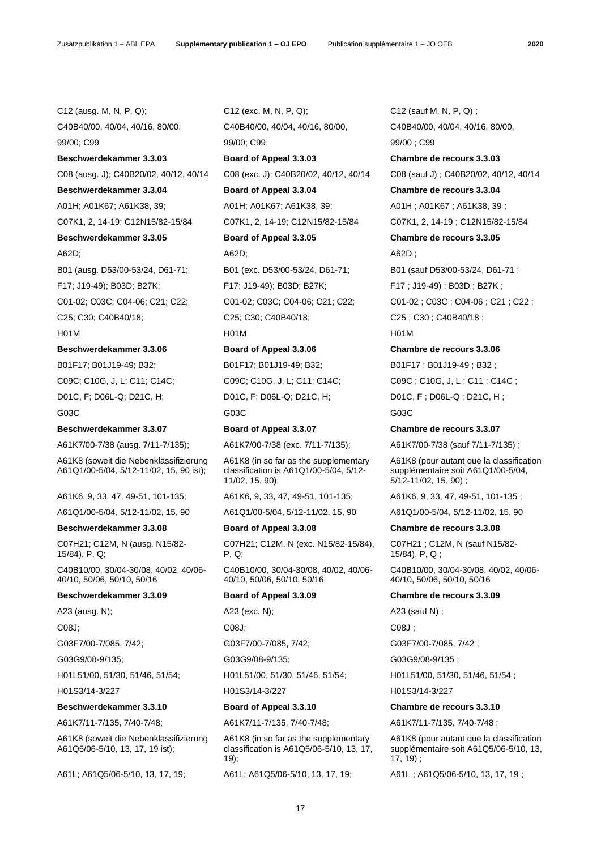C12 (ausg. M, N, P, Q); C12 (exc. M, N, P, Q); C12 (sauf M, N, P, Q) ;

C08 (ausg. J); C40B20/02, 40/12, 40/14 C08 (exc. J); C40B20/02, 40/12, 40/14 C08 (sauf J) ; C40B20/02, 40/12, 40/14 **Beschwerdekammer 3.3.04 Board of Appeal 3.3.04 Chambre de recours 3.3.04**

C07K1, 2, 14-19; C12N15/82-15/84 C07K1, 2, 14-19; C12N15/82-15/84 C07K1, 2, 14-19 ; C12N15/82-15/84

**Beschwerdekammer 3.3.06 Board of Appeal 3.3.06 Chambre de recours 3.3.06**

B01F17; B01J19-49; B32; B01F17; B01J19-49; B32; B01F17; B01J19-49; B32; C09C; C10G, J, L; C11; C14C; C09C; C10G, J, L; C11; C14C; C09C; C10G, J, L; C11; C14C; D01C, F; D06L-Q; D21C, H; D01C, F; D06L-Q; D21C, H; D01C, F ; D06L-Q ; D21C, H ;

# **Beschwerdekammer 3.3.07 Board of Appeal 3.3.07 Chambre de recours 3.3.07**

A61K7/00-7/38 (ausg. 7/11-7/135); A61K7/00-7/38 (exc. 7/11-7/135); A61K7/00-7/38 (sauf 7/11-7/135) ;

A61K8 (soweit die Nebenklassifizierung A61Q1/00-5/04, 5/12-11/02, 15, 90 ist);

A61K6, 9, 33, 47, 49-51, 101-135; A61K6, 9, 33, 47, 49-51, 101-135; A61K6, 9, 33, 47, 49-51, 101-135 ;

C07H21; C12M, N (ausg. N15/82- 15/84), P, Q;

C40B10/00, 30/04-30/08, 40/02, 40/06- 40/10, 50/06, 50/10, 50/16

A23 (ausg. N); A23 (exc. N); A23 (exc. N); A23 (sauf N) ;

H01L51/00, 51/30, 51/46, 51/54; H01L51/00, 51/30, 51/46, 51/54; H01L51/00, 51/30, 51/46, 51/54 ;

# **Beschwerdekammer 3.3.10 Board of Appeal 3.3.10 Chambre de recours 3.3.10**

A61K7/11-7/135, 7/40-7/48; A61K7/11-7/135, 7/40-7/48; A61K7/11-7/135, 7/40-7/48 ;

A61K8 (soweit die Nebenklassifizierung A61Q5/06-5/10, 13, 17, 19 ist);

C40B40/00, 40/04, 40/16, 80/00, C40B40/00, 40/04, 40/16, 80/00, C40B40/00, 40/04, 40/16, 80/00, 99/00; C99 99/00; C99 99/00 ; C99 **Beschwerdekammer 3.3.03 Board of Appeal 3.3.03 Chambre de recours 3.3.03** A01H; A01K67; A61K38, 39; A01H; A01K67; A61K38, 39; A01H; A01K67; A61K38, 39; A01H ; A01K67; A61K38, 39; **Beschwerdekammer 3.3.05 Board of Appeal 3.3.05 Chambre de recours 3.3.05** A62D; A62D; A62D ; B01 (ausg. D53/00-53/24, D61-71; B01 (exc. D53/00-53/24, D61-71; B01 (sauf D53/00-53/24, D61-71 ; F17; J19-49); B03D; B27K; F17; J19-49); B03D; B27K; F17 ; J19-49) ; B03D ; B27K ; C25; C30; C40B40/18; C25; C30; C40B40/18; C25 ; C30 ; C40B40/18 ; H01M H01M H01M

G03C G03C G03C

A61K8 (in so far as the supplementary classification is A61Q1/00-5/04, 5/12- 11/02, 15, 90);

C07H21; C12M, N (exc. N15/82-15/84), P, Q;

C40B10/00, 30/04-30/08, 40/02, 40/06- 40/10, 50/06, 50/10, 50/16

C08J; C08J; C08J ;

A61K8 (in so far as the supplementary classification is A61Q5/06-5/10, 13, 17, 19);

A61L; A61Q5/06-5/10, 13, 17, 19; A61L; A61Q5/06-5/10, 13, 17, 19; A61L ; A61Q5/06-5/10, 13, 17, 19 ;

C01-02; C03C; C04-06; C21; C22; C01-02; C03C; C04-06; C21; C22; C01-02 ; C03C ; C04-06 ; C21 ; C22 ;

A61K8 (pour autant que la classification supplémentaire soit A61Q1/00-5/04, 5/12-11/02, 15, 90) ;

A61Q1/00-5/04, 5/12-11/02, 15, 90 A61Q1/00-5/04, 5/12-11/02, 15, 90 A61Q1/00-5/04, 5/12-11/02, 15, 90

# **Beschwerdekammer 3.3.08 Board of Appeal 3.3.08 Chambre de recours 3.3.08**

C07H21 ; C12M, N (sauf N15/82- 15/84), P, Q ;

C40B10/00, 30/04-30/08, 40/02, 40/06- 40/10, 50/06, 50/10, 50/16

# **Beschwerdekammer 3.3.09 Board of Appeal 3.3.09 Chambre de recours 3.3.09**

G03F7/00-7/085, 7/42; G03F7/00-7/085, 7/42; G03F7/00-7/085, 7/42 ;

G03G9/08-9/135; G03G9/08-9/135; G03G9/08-9/135 ;

H01S3/14-3/227 H01S3/14-3/227 H01S3/14-3/227

A61K8 (pour autant que la classification supplémentaire soit A61Q5/06-5/10, 13, 17, 19) ;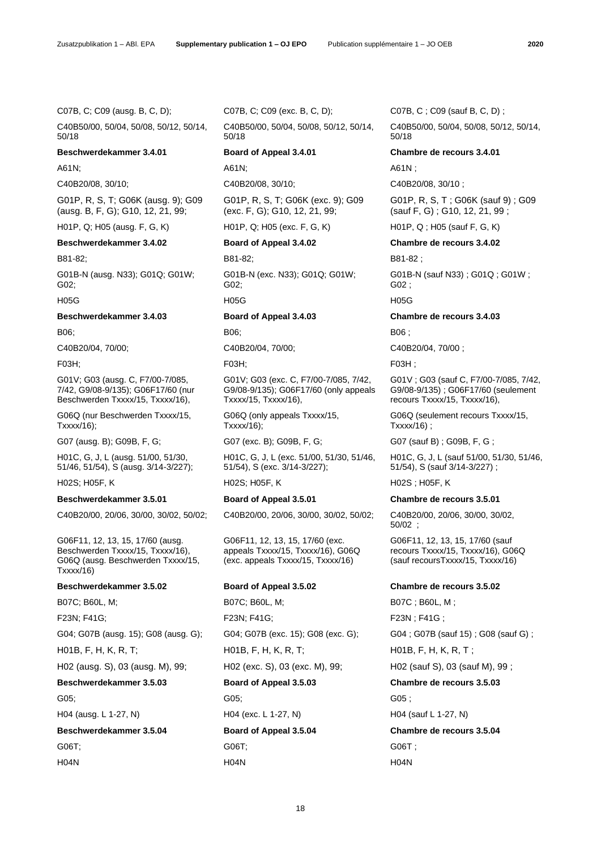C40B50/00, 50/04, 50/08, 50/12, 50/14, 50/18

A61N; A61N; A61N ;

G01P, R, S, T; G06K (ausg. 9); G09 (ausg. B, F, G); G10, 12, 21, 99;

G01B-N (ausg. N33); G01Q; G01W; G02;

G01V; G03 (ausg. C, F7/00-7/085, 7/42, G9/08-9/135); G06F17/60 (nur Beschwerden Txxxx/15, Txxxx/16),

G06Q (nur Beschwerden Txxxx/15, Txxxx/16);

H01C, G, J, L (ausg. 51/00, 51/30, 51/46, 51/54), S (ausg. 3/14-3/227);

G06F11, 12, 13, 15, 17/60 (ausg. Beschwerden Txxxx/15, Txxxx/16), G06Q (ausg. Beschwerden Txxxx/15, Txxxx/16)

C40B50/00, 50/04, 50/08, 50/12, 50/14, 50/18

G01P, R, S, T; G06K (exc. 9); G09 (exc. F, G); G10, 12, 21, 99;

H01P, Q; H05 (ausg. F, G, K) H01P, Q; H05 (exc. F, G, K) H01P, Q ; H05 (sauf F, G, K)

B81-82; B81-82; B81-82 ;

G01B-N (exc. N33); G01Q; G01W; G02;

H05G H05G H05G

B06; B06; B06 ;

G01V; G03 (exc. C, F7/00-7/085, 7/42, G9/08-9/135); G06F17/60 (only appeals Txxxx/15, Txxxx/16),

G06Q (only appeals Txxxx/15, Txxxx/16);

H01C, G, J, L (exc. 51/00, 51/30, 51/46, 51/54), S (exc. 3/14-3/227);

C40B20/00, 20/06, 30/00, 30/02, 50/02; C40B20/00, 20/06, 30/00, 30/02, 50/02; C40B20/00, 20/06, 30/00, 30/02,

G06F11, 12, 13, 15, 17/60 (exc. appeals Txxxx/15, Txxxx/16), G06Q (exc. appeals Txxxx/15, Txxxx/16)

B07C; B60L, M; B07C; B60L, M; B07C ; B60L, M ; F23N; F41G; F23N; F41G; F23N ; F41G ; G04; G07B (ausg. 15); G08 (ausg. G); G04; G07B (exc. 15); G08 (exc. G); G04 ; G07B (sauf 15) ; G08 (sauf G) ; H01B, F, H, K, R, T; H01B, F, H, K, R, T; H01B, F, H, K, R, T ; H02 (ausg. S), 03 (ausg. M), 99; H02 (exc. S), 03 (exc. M), 99; H02 (sauf S), 03 (sauf M), 99 ; **Beschwerdekammer 3.5.03 Board of Appeal 3.5.03 Chambre de recours 3.5.03** G05; G05; G05; H04 (ausg. L 1-27, N) H04 (exc. L 1-27, N) H04 (sauf L 1-27, N) **Beschwerdekammer 3.5.04 Board of Appeal 3.5.04 Chambre de recours 3.5.04** G06T; G06T; G06T ; H04N H04N H04N

C07B, C; C09 (ausg. B, C, D); C07B, C; C09 (exc. B, C, D); C07B, C ; C09 (sauf B, C, D) ;

C40B50/00, 50/04, 50/08, 50/12, 50/14, 50/18

# **Beschwerdekammer 3.4.01 Board of Appeal 3.4.01 Chambre de recours 3.4.01**

C40B20/08, 30/10; C40B20/08, 30/10; C40B20/08, 30/10 ;

G01P, R, S, T ; G06K (sauf 9) ; G09 (sauf F, G) ; G10, 12, 21, 99 ;

**Beschwerdekammer 3.4.02 Board of Appeal 3.4.02 Chambre de recours 3.4.02**

G01B-N (sauf N33) ; G01Q ; G01W ; G02 ;

# **Beschwerdekammer 3.4.03 Board of Appeal 3.4.03 Chambre de recours 3.4.03**

C40B20/04, 70/00; C40B20/04, 70/00; C40B20/04, 70/00 ;

# F03H; F03H; F03H ;

G01V ; G03 (sauf C, F7/00-7/085, 7/42, G9/08-9/135) ; G06F17/60 (seulement recours Txxxx/15, Txxxx/16),

G06Q (seulement recours Txxxx/15, Txxxx/16) ;

G07 (ausg. B); G09B, F, G; G07 (exc. B); G09B, F, G; G07 (sauf B) ; G09B, F, G;

H01C, G, J, L (sauf 51/00, 51/30, 51/46, 51/54), S (sauf 3/14-3/227) ;

H02S; H05F, K H02S; H05F, K H02S ; H05F, K

# **Beschwerdekammer 3.5.01 Board of Appeal 3.5.01 Chambre de recours 3.5.01**

50/02 ;

G06F11, 12, 13, 15, 17/60 (sauf recours Txxxx/15, Txxxx/16), G06Q (sauf recoursTxxxx/15, Txxxx/16)

# **Beschwerdekammer 3.5.02 Board of Appeal 3.5.02 Chambre de recours 3.5.02**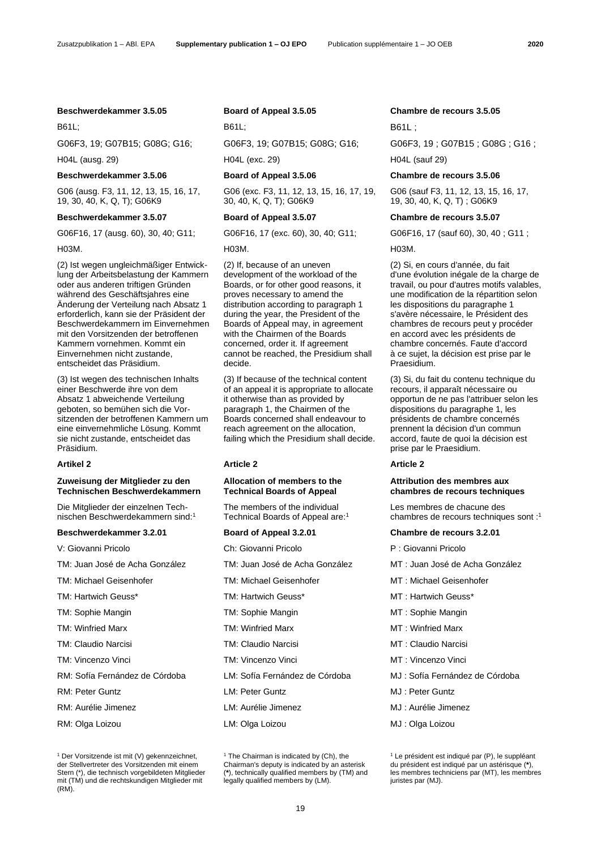H04L (ausg. 29) H04L (exc. 29) H04L (sauf 29)

# **Beschwerdekammer 3.5.06 Board of Appeal 3.5.06 Chambre de recours 3.5.06**

G06 (ausg. F3, 11, 12, 13, 15, 16, 17, 19, 30, 40, K, Q, T); G06K9

# **Beschwerdekammer 3.5.07 Board of Appeal 3.5.07 Chambre de recours 3.5.07**

G06F16, 17 (ausg. 60), 30, 40; G11; G06F16, 17 (exc. 60), 30, 40; G11; G06F16, 17 (sauf 60), 30, 40 ; G11 ;

H03M. H03M. H03M.

(2) Ist wegen ungleichmäßiger Entwicklung der Arbeitsbelastung der Kammern oder aus anderen triftigen Gründen während des Geschäftsjahres eine Änderung der Verteilung nach Absatz 1 erforderlich, kann sie der Präsident der Beschwerdekammern im Einvernehmen mit den Vorsitzenden der betroffenen Kammern vornehmen. Kommt ein Einvernehmen nicht zustande, entscheidet das Präsidium.

(3) Ist wegen des technischen Inhalts einer Beschwerde ihre von dem Absatz 1 abweichende Verteilung geboten, so bemühen sich die Vorsitzenden der betroffenen Kammern um eine einvernehmliche Lösung. Kommt sie nicht zustande, entscheidet das Präsidium.

# **Zuweisung der Mitglieder zu den Technischen Beschwerdekammern**

Die Mitglieder der einzelnen Technischen Beschwerdekammern sind:<sup>1</sup>

# **Beschwerdekammer 3.2.01 Board of Appeal 3.2.01 Chambre de recours 3.2.01**

- 
- 

RM: Sofía Fernández de Córdoba LM: Sofía Fernández de Córdoba MJ : Sofía Fernández de Córdoba

RM: Aurélie Jimenez LM: Aurélie Jimenez MJ : Aurélie Jimenez

G06 (exc. F3, 11, 12, 13, 15, 16, 17, 19, 30, 40, K, Q, T); G06K9

(2) If, because of an uneven development of the workload of the Boards, or for other good reasons, it proves necessary to amend the distribution according to paragraph 1 during the year, the President of the Boards of Appeal may, in agreement with the Chairmen of the Boards concerned, order it. If agreement cannot be reached, the Presidium shall decide.

(3) If because of the technical content of an appeal it is appropriate to allocate it otherwise than as provided by paragraph 1, the Chairmen of the Boards concerned shall endeavour to reach agreement on the allocation, failing which the Presidium shall decide.

# **Artikel 2 Article 2 Article 2**

# **Allocation of members to the Technical Boards of Appeal**

<span id="page-4-0"></span>The members of the individual Technical Boards of Appeal ar[e:](#page-4-0)<sup>1</sup>

V: Giovanni Pricolo Ch: Giovanni Pricolo P : Giovanni Pricolo

- 
- 
- 
- 
- 
- TM: Claudio Narcisi TM: Claudio Narcisi MT : Claudio Narcisi
- TM: Vincenzo Vinci TM: Vincenzo Vinci MT : Vincenzo Vinci
	-
- RM: Peter Guntz LM: Peter Guntz MJ : Peter Guntz
	-
- RM: Olga Loizou LM: Olga Loizou MJ : Olga Loizou

B61L; B61L; B61L;

G06F3, 19; G07B15; G08G; G16; G06F3, 19; G07B15; G08G; G16; G06F3, 19; G07B15; G08G; G16;

G06 (sauf F3, 11, 12, 13, 15, 16, 17, 19, 30, 40, K, Q, T) ; G06K9

(2) Si, en cours d'année, du fait d'une évolution inégale de la charge de travail, ou pour d'autres motifs valables, une modification de la répartition selon les dispositions du paragraphe 1 s'avère nécessaire, le Président des chambres de recours peut y procéder en accord avec les présidents de chambre concernés. Faute d'accord à ce sujet, la décision est prise par le Praesidium.

(3) Si, du fait du contenu technique du recours, il apparaît nécessaire ou opportun de ne pas l'attribuer selon les dispositions du paragraphe 1, les présidents de chambre concernés prennent la décision d'un commun accord, faute de quoi la décision est prise par le Praesidium.

# **Attribution des membres aux chambres de recours techniques**

Les membres de chacune des chambres de recours techniques sont [:](#page-4-0) 1

- TM: Juan José de Acha González TM: Juan José de Acha González MT : Juan José de Acha González
- TM: Michael Geisenhofer TM: Michael Geisenhofer MT : Michael Geisenhofer
- TM: Hartwich Geuss\* TM: Hartwich Geuss\* MT : Hartwich Geuss\*
- TM: Sophie Mangin TM: Sophie Mangin MT : Sophie Mangin
- TM: Winfried Marx TM: Winfried Marx MT : Winfried Marx
	-
	-
	-
	-
	-
	-

<sup>1</sup> Der Vorsitzende ist mit (V) gekennzeichnet, der Stellvertreter des Vorsitzenden mit einem Stern (\*), die technisch vorgebildeten Mitglieder mit (TM) und die rechtskundigen Mitglieder mit (RM).

<sup>&</sup>lt;sup>[1](#page-4-0)</sup> The Chairman is indicated by (Ch), the Chairman's deputy is indicated by an asterisk (**\***), technically qualified members by (TM) and legally qualified members by (LM).

<sup>&</sup>lt;sup>[1](#page-4-0)</sup> Le président est indiqué par (P), le suppléant du président est indiqué par un astérisque (**\***), les membres techniciens par (MT), les membres juristes par (MJ).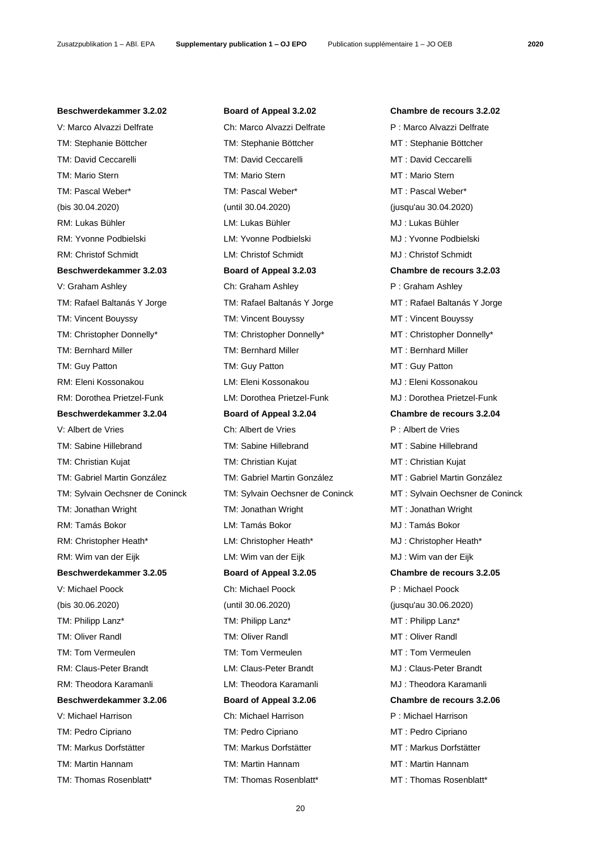# **Beschwerdekammer 3.2.02 Board of Appeal 3.2.02 Chambre de recours 3.2.02**

TM: Stephanie Böttcher TM: Stephanie Böttcher MT : Stephanie Böttcher TM: David Ceccarelli TM: David Ceccarelli MT : David Ceccarelli TM: Mario Stern TM: Mario Stern MT : Mario Stern TM: Pascal Weber\* TM: Pascal Weber\* MT : Pascal Weber\* (bis 30.04.2020) (until 30.04.2020) (jusqu'au 30.04.2020) RM: Lukas Bühler CM: Lukas Bühler LM: Lukas Bühler MJ : Lukas Bühler RM: Yvonne Podbielski LM: Yvonne Podbielski MJ : Yvonne Podbielski RM: Christof Schmidt LM: Christof Schmidt MJ : Christof Schmidt **Beschwerdekammer 3.2.03 Board of Appeal 3.2.03 Chambre de recours 3.2.03** V: Graham Ashley Ch: Graham Ashley P : Graham Ashley TM: Rafael Baltanás Y Jorge TM: Rafael Baltanás Y Jorge MT : Rafael Baltanás Y Jorge TM: Vincent Bouyssy TM: Vincent Bouyssy TM: Vincent Bouyssy MT: Vincent Bouyssy TM: Christopher Donnelly\* TM: Christopher Donnelly\* MT : Christopher Donnelly\* TM: Bernhard Miller TM: Bernhard Miller TM: Bernhard Miller MT : Bernhard Miller TM: Guy Patton TM: Guy Patton TM: Guy Patton MT : Guy Patton RM: Eleni Kossonakou LM: Eleni Kossonakou MJ : Eleni Kossonakou RM: Dorothea Prietzel-Funk LM: Dorothea Prietzel-Funk MJ : Dorothea Prietzel-Funk **Beschwerdekammer 3.2.04 Board of Appeal 3.2.04 Chambre de recours 3.2.04** V: Albert de Vries Ch: Albert de Vries P : Albert de Vries TM: Sabine Hillebrand TM: Sabine Hillebrand MT : Sabine Hillebrand TM: Christian Kujat TM: Christian Kujat MT : Christian Kujat TM: Gabriel Martin González TM: Gabriel Martin González MT : Gabriel Martin González TM: Jonathan Wright TM: Jonathan Wright MT : Jonathan Wright RM: Tamás Bokor LM: Tamás Bokor MJ : Tamás Bokor RM: Christopher Heath\* LM: Christopher Heath\* MJ: Christopher Heath\* RM: Wim van der Eijk LM: Wim van der Eijk MJ : Wim van der Eijk **Beschwerdekammer 3.2.05 Board of Appeal 3.2.05 Chambre de recours 3.2.05** V: Michael Poock Ch: Michael Poock P : Michael Poock (bis 30.06.2020) (until 30.06.2020) (jusqu'au 30.06.2020) TM: Philipp Lanz\* TM: Philipp Lanz\* MT : Philipp Lanz\* TM: Oliver Randl TM: Oliver Randl MT : Oliver Randl TM: Tom Vermeulen TM: Tom Vermeulen MT : Tom Vermeulen RM: Claus-Peter Brandt LM: Claus-Peter Brandt MJ : Claus-Peter Brandt RM: Theodora Karamanli LM: Theodora Karamanli MJ : Theodora Karamanli **Beschwerdekammer 3.2.06 Board of Appeal 3.2.06 Chambre de recours 3.2.06** V: Michael Harrison Ch: Michael Harrison P : Michael Harrison TM: Pedro Cipriano TM: Pedro Cipriano MT : Pedro Cipriano TM: Markus Dorfstätter TM: Markus Dorfstätter MT : Markus Dorfstätter TM: Martin Hannam TM: Martin Hannam MT : Martin Hannam

# V: Marco Alvazzi Delfrate Ch: Marco Alvazzi Delfrate P : Marco Alvazzi Delfrate

TM: Sylvain Oechsner de Coninck TM: Sylvain Oechsner de Coninck MT : Sylvain Oechsner de Coninck TM: Thomas Rosenblatt\* TM: Thomas Rosenblatt\* MT : Thomas Rosenblatt\*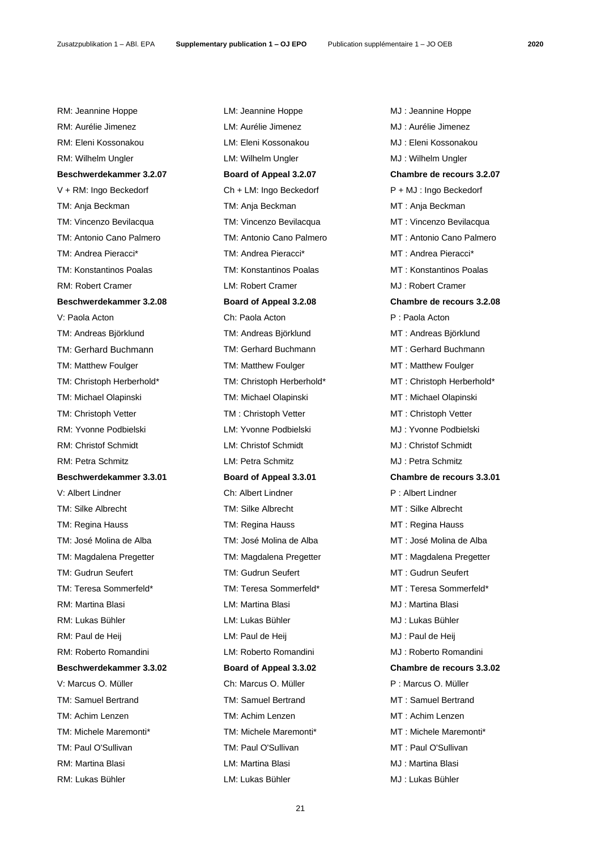Zusatzpublikation 1 – ABl. EPA **Supplementary publication 1 – OJ EPO** Publication supplémentaire 1 – JO OEB **2020**

RM: Jeannine Hoppe LM: Jeannine Hoppe MJ : Jeannine Hoppe RM: Aurélie Jimenez LM: Aurélie Jimenez MJ : Aurélie Jimenez RM: Eleni Kossonakou LM: Eleni Kossonakou MJ : Eleni Kossonakou RM: Wilhelm Ungler **LM: Wilhelm Ungler** MJ : Wilhelm Ungler **Beschwerdekammer 3.2.07 Board of Appeal 3.2.07 Chambre de recours 3.2.07** V + RM: Ingo Beckedorf Ch + LM: Ingo Beckedorf P + MJ : Ingo Beckedorf TM: Anja Beckman TM: Anja Beckman MT : Anja Beckman TM: Vincenzo Bevilacqua TM: Vincenzo Bevilacqua MT : Vincenzo Bevilacqua TM: Antonio Cano Palmero TM: Antonio Cano Palmero MT : Antonio Cano Palmero TM: Andrea Pieracci\* TM: Andrea Pieracci\* TM: Andrea Pieracci\* MT : Andrea Pieracci\* TM: Konstantinos Poalas TM: Konstantinos Poalas MT : Konstantinos Poalas RM: Robert Cramer LM: Robert Cramer MJ : Robert Cramer **Beschwerdekammer 3.2.08 Board of Appeal 3.2.08 Chambre de recours 3.2.08** V: Paola Acton Ch: Paola Acton P : Paola Acton TM: Andreas Björklund TM: Andreas Björklund MT : Andreas Björklund TM: Gerhard Buchmann TM: Gerhard Buchmann MT: Gerhard Buchmann TM: Matthew Foulger TM: Matthew Foulger TM: Matthew Foulger MT : Matthew Foulger TM: Christoph Herberhold\* TM: Christoph Herberhold\* MT : Christoph Herberhold\* TM: Michael Olapinski TM: Michael Olapinski MT : Michael Olapinski TM: Christoph Vetter TM: Christoph Vetter TM: Christoph Vetter MT: Christoph Vetter RM: Yvonne Podbielski LM: Yvonne Podbielski MJ : Yvonne Podbielski RM: Christof Schmidt LM: Christof Schmidt MJ : Christof Schmidt RM: Petra Schmitz LM: Petra Schmitz MJ : Petra Schmitz **Beschwerdekammer 3.3.01 Board of Appeal 3.3.01 Chambre de recours 3.3.01** V: Albert Lindner Ch: Albert Lindner P : Albert Lindner TM: Silke Albrecht TM: Silke Albrecht MT : Silke Albrecht TM: Regina Hauss TM: Regina Hauss MT : Regina Hauss TM: José Molina de Alba TM: José Molina de Alba MT : José Molina de Alba TM: Magdalena Pregetter TM: Magdalena Pregetter MT : Magdalena Pregetter TM: Gudrun Seufert TM: Gudrun Seufert MT : Gudrun Seufert TM: Teresa Sommerfeld\* TM: Teresa Sommerfeld\* MT : Teresa Sommerfeld\* RM: Martina Blasi **RM: Martina Blasi** LM: Martina Blasi **MJ : Martina Blasi** MJ : Martina Blasi RM: Lukas Bühler LM: Lukas Bühler MJ : Lukas Bühler RM: Paul de Heij **RM: Paul de Heij LM: Paul de Heij** MJ : Paul de Heij RM: Roberto Romandini **LM: Roberto Romandini** MJ : Roberto Romandini **Beschwerdekammer 3.3.02 Board of Appeal 3.3.02 Chambre de recours 3.3.02** V: Marcus O. Müller Ch: Marcus O. Müller P : Marcus O. Müller TM: Samuel Bertrand TM: Samuel Bertrand MT: Samuel Bertrand TM: Achim Lenzen TM: Achim Lenzen MT : Achim Lenzen TM: Michele Maremonti\* TM: Michele Maremonti\* MT : Michele Maremonti\* TM: Paul O'Sullivan TM: Paul O'Sullivan MT : Paul O'Sullivan RM: Martina Blasi LM: Martina Blasi MJ : Martina Blasi

RM: Lukas Bühler LM: Lukas Bühler MJ : Lukas Bühler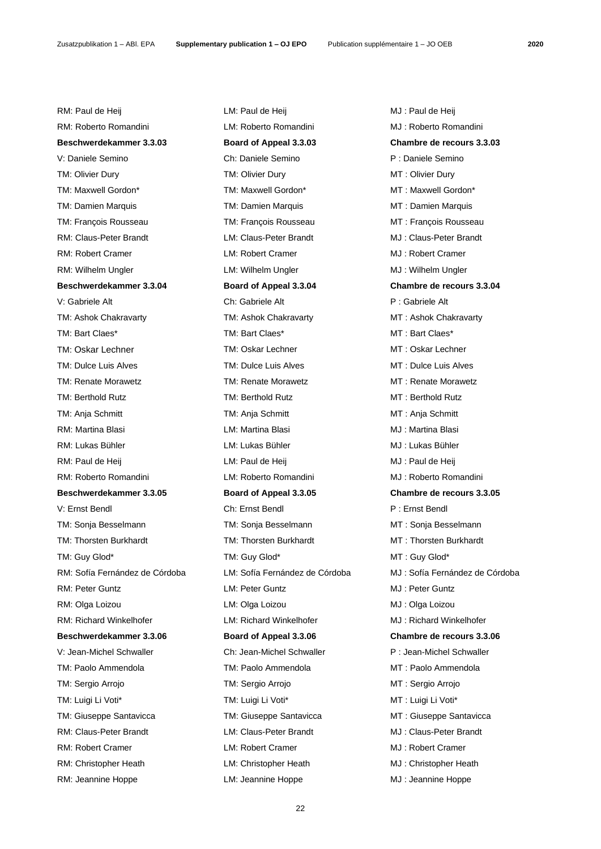RM: Paul de Heij **RM: Paul de Heij LM: Paul de Heij** MJ : Paul de Heij RM: Roberto Romandini **MJ**: Roberto Romandini MJ : Roberto Romandini **Beschwerdekammer 3.3.03 Board of Appeal 3.3.03 Chambre de recours 3.3.03** V: Daniele Semino Ch: Daniele Semino P : Daniele Semino TM: Olivier Dury TM: Olivier Dury TM: Olivier Dury MT : Olivier Dury TM: Maxwell Gordon\* TM: Maxwell Gordon\* MT : Maxwell Gordon\* TM: Damien Marquis TM: Damien Marquis MT : Damien Marquis TM: François Rousseau TM: François Rousseau MT : François Rousseau RM: Claus-Peter Brandt **LM: Claus-Peter Brandt** MJ: Claus-Peter Brandt RM: Robert Cramer LM: Robert Cramer MJ : Robert Cramer RM: Wilhelm Ungler **LM: Wilhelm Ungler** LM: Wilhelm Ungler **MJ** : Wilhelm Ungler **Beschwerdekammer 3.3.04 Board of Appeal 3.3.04 Chambre de recours 3.3.04** V: Gabriele Alt Ch: Gabriele Alt P : Gabriele Alt TM: Ashok Chakravarty TM: Ashok Chakravarty MT : Ashok Chakravarty TM: Bart Claes\* TM: Bart Claes\* MT : Bart Claes\* TM: Oskar Lechner TM: Oskar Lechner TM: Oskar Lechner MT : Oskar Lechner TM: Dulce Luis Alves TM: Dulce Luis Alves TM: Dulce Luis Alves MT : Dulce Luis Alves TM: Renate Morawetz TM: Renate Morawetz MT : Renate Morawetz TM: Berthold Rutz TM: Berthold Rutz and TM: Berthold Rutz CHT: Berthold Rutz TM: Anja Schmitt TM: Anja Schmitt MT : Anja Schmitt RM: Martina Blasi LM: Martina Blasi MJ : Martina Blasi RM: Lukas Bühler LM: Lukas Bühler MJ : Lukas Bühler RM: Paul de Heij de Heij LM: Paul de Heij de Heij de Heij MJ : Paul de Heij RM: Roberto Romandini LM: Roberto Romandini MJ : Roberto Romandini **Beschwerdekammer 3.3.05 Board of Appeal 3.3.05 Chambre de recours 3.3.05** V: Ernst Bendl Ch: Ernst Bendl P : Ernst Bendl TM: Sonja Besselmann TM: Sonja Besselmann MT : Sonja Besselmann TM: Thorsten Burkhardt TM: Thorsten Burkhardt MT : Thorsten Burkhardt TM: Guy Glod\* TM: Guy Glod\* TM: Guy Glod\* MT: Guy Glod\* RM: Peter Guntz **COLLECT COLLECT COLLECT COLLECT COLLECT COLLECT COLLECT COLLECT COLLECT COLLECT COLLECT COLLECT COLLECT COLLECT COLLECT COLLECT COLLECT COLLECT COLLECT COLLECT COLLECT COLLECT COLLECT COLLECT COLLECT COLLE** RM: Olga Loizou **LM: Olga Loizou** LM: Olga Loizou **MJ** : Olga Loizou RM: Richard Winkelhofer **LM: Richard Winkelhofer** MJ: Richard Winkelhofer **Beschwerdekammer 3.3.06 Board of Appeal 3.3.06 Chambre de recours 3.3.06** V: Jean-Michel Schwaller Ch: Jean-Michel Schwaller P : Jean-Michel Schwaller TM: Paolo Ammendola TM: Paolo Ammendola MT : Paolo Ammendola TM: Sergio Arrojo TM: Sergio Arrojo MT : Sergio Arrojo TM: Luigi Li Voti\* TM: Luigi Li Voti\* MT : Luigi Li Voti\* TM: Giuseppe Santavicca TM: Giuseppe Santavicca MT : Giuseppe Santavicca RM: Claus-Peter Brandt **LM: Claus-Peter Brandt** MJ : Claus-Peter Brandt RM: Robert Cramer LM: Robert Cramer MJ : Robert Cramer RM: Christopher Heath LM: Christopher Heath MJ : Christopher Heath

RM: Jeannine Hoppe LM: Jeannine Hoppe MJ : Jeannine Hoppe

RM: Sofía Fernández de Córdoba LM: Sofía Fernández de Córdoba MJ : Sofía Fernández de Córdoba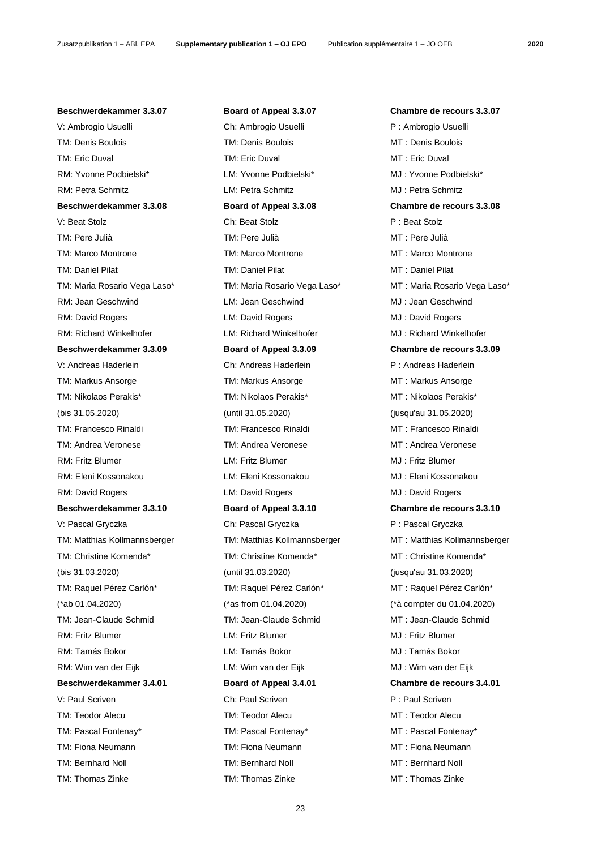# **Beschwerdekammer 3.3.07 Board of Appeal 3.3.07 Chambre de recours 3.3.07**

V: Ambrogio Usuelli Ch: Ambrogio Usuelli P : Ambrogio Usuelli TM: Denis Boulois TM: Denis Boulois MT : Denis Boulois TM: Eric Duval TM: Eric Duval TM: Eric Duval MT : Eric Duval RM: Yvonne Podbielski\* LM: Yvonne Podbielski\* MJ : Yvonne Podbielski\* RM: Petra Schmitz LM: Petra Schmitz MJ : Petra Schmitz **Beschwerdekammer 3.3.08 Board of Appeal 3.3.08 Chambre de recours 3.3.08** V: Beat Stolz Ch: Beat Stolz P : Beat Stolz TM: Pere Julià TM: Pere Julià MT : Pere Julià TM: Marco Montrone TM: Marco Montrone MT : Marco Montrone TM: Daniel Pilat TM: Daniel Pilat MT : Daniel Pilat RM: Jean Geschwind **Muller LM: Jean Geschwind CM**J : Jean Geschwind RM: David Rogers LM: David Rogers MJ : David Rogers RM: Richard Winkelhofer **LM: Richard Winkelhofer** MJ: Richard Winkelhofer **Beschwerdekammer 3.3.09 Board of Appeal 3.3.09 Chambre de recours 3.3.09** V: Andreas Haderlein **Ch: Andreas Haderlein** P: Andreas Haderlein P : Andreas Haderlein TM: Markus Ansorge TM: Markus Ansorge TM: Markus Ansorge MT : Markus Ansorge TM: Nikolaos Perakis\* TM: Nikolaos Perakis\* MT : Nikolaos Perakis\* (bis 31.05.2020) (until 31.05.2020) (jusqu'au 31.05.2020) TM: Francesco Rinaldi TM: Francesco Rinaldi MT : Francesco Rinaldi TM: Andrea Veronese TM: Andrea Veronese MT : Andrea Veronese RM: Fritz Blumer LM: Fritz Blumer MJ : Fritz Blumer RM: Eleni Kossonakou LM: Eleni Kossonakou MJ : Eleni Kossonakou RM: David Rogers **CONTEX CONTEX LM: David Rogers** MJ : David Rogers MJ : David Rogers **Beschwerdekammer 3.3.10 Board of Appeal 3.3.10 Chambre de recours 3.3.10** V: Pascal Gryczka Ch: Pascal Gryczka Ch: Pascal Gryczka P : Pascal Gryczka TM: Christine Komenda\* TM: Christine Komenda\* MT : Christine Komenda\* (bis 31.03.2020) (until 31.03.2020) (jusqu'au 31.03.2020) TM: Raquel Pérez Carlón\* TM: Raquel Pérez Carlón\* MT : Raquel Pérez Carlón\* (\*ab 01.04.2020) (\*as from 01.04.2020) (\*à compter du 01.04.2020) TM: Jean-Claude Schmid TM: Jean-Claude Schmid MT : Jean-Claude Schmid RM: Fritz Blumer LM: Fritz Blumer MJ : Fritz Blumer RM: Tamás Bokor LM: Tamás Bokor MJ : Tamás Bokor RM: Wim van der Eijk LM: Wim van der Eijk MJ : Wim van der Eijk **Beschwerdekammer 3.4.01 Board of Appeal 3.4.01 Chambre de recours 3.4.01** V: Paul Scriven Ch: Paul Scriven P : Paul Scriven P : Paul Scriven TM: Teodor Alecu TM: Teodor Alecu MT : Teodor Alecu TM: Pascal Fontenay\* TM: Pascal Fontenay\* MT : Pascal Fontenay\* TM: Fiona Neumann TM: Fiona Neumann MT : Fiona Neumann TM: Bernhard Noll TM: Bernhard Noll MT : Bernhard Noll

TM: Maria Rosario Vega Laso\* TM: Maria Rosario Vega Laso\* MT : Maria Rosario Vega Laso\* TM: Matthias Kollmannsberger TM: Matthias Kollmannsberger MT : Matthias Kollmannsberger TM: Thomas Zinke TM: Thomas Zinke TM: Thomas Zinke MT : Thomas Zinke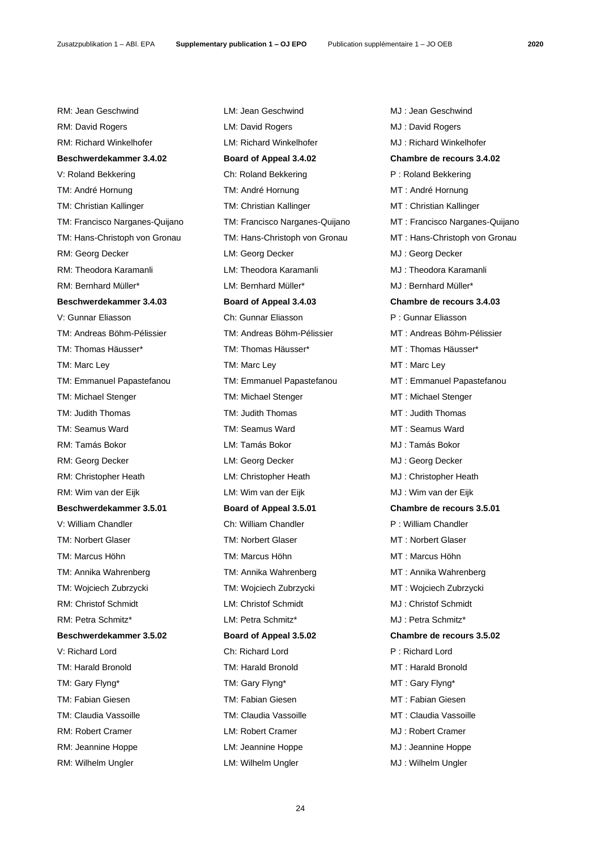RM: David Rogers **LM: David Rogers** CM: David Rogers MJ: David Rogers RM: Richard Winkelhofer **LM: Richard Winkelhofer** MJ: Richard Winkelhofer **Beschwerdekammer 3.4.02 Board of Appeal 3.4.02 Chambre de recours 3.4.02** V: Roland Bekkering **Ch: Roland Bekkering P** : Roland Bekkering TM: André Hornung TM: André Hornung TM: André Hornung MT : André Hornung TM: Christian Kallinger TM: Christian Kallinger MT : Christian Kallinger RM: Georg Decker **LM: Georg Decker CMJ : Georg Decker** MJ : Georg Decker RM: Theodora Karamanli LM: Theodora Karamanli MJ : Theodora Karamanli RM: Bernhard Müller\* LM: Bernhard Müller\* MJ : Bernhard Müller\* **Beschwerdekammer 3.4.03 Board of Appeal 3.4.03 Chambre de recours 3.4.03** V: Gunnar Eliasson Ch: Gunnar Eliasson P : Gunnar Eliasson TM: Andreas Böhm-Pélissier TM: Andreas Böhm-Pélissier MT : Andreas Böhm-Pélissier TM: Thomas Häusser\* TM: Thomas Häusser\* MT : Thomas Häusser\* TM: Marc Ley TM: Marc Ley TM: Marc Ley TM: Marc Ley MT : Marc Ley TM: Emmanuel Papastefanou TM: Emmanuel Papastefanou MT : Emmanuel Papastefanou TM: Michael Stenger TM: Michael Stenger MT : Michael Stenger TM: Judith Thomas TM: Judith Thomas MT : Judith Thomas TM: Seamus Ward TM: Seamus Ward MT : Seamus Ward RM: Tamás Bokor LM: Tamás Bokor MJ : Tamás Bokor RM: Georg Decker **LM: Georg Decker CMI : Georg Decker** MJ : Georg Decker RM: Christopher Heath LM: Christopher Heath MJ : Christopher Heath RM: Wim van der Eijk LM: Wim van der Eijk MJ : Wim van der Eijk **Beschwerdekammer 3.5.01 Board of Appeal 3.5.01 Chambre de recours 3.5.01** V: William Chandler **Chinam Chandler Chinam Chandler** Ch: William Chandler **P** : William Chandler TM: Norbert Glaser TM: Norbert Glaser TM: Norbert Glaser MT : Norbert Glaser TM: Marcus Höhn TM: Marcus Höhn MT : Marcus Höhn TM: Annika Wahrenberg TM: Annika Wahrenberg MT : Annika Wahrenberg TM: Wojciech Zubrzycki TM: Wojciech Zubrzycki MT : Wojciech Zubrzycki RM: Christof Schmidt LM: Christof Schmidt MJ : Christof Schmidt RM: Petra Schmitz\* LM: Petra Schmitz\* MJ : Petra Schmitz\* **Beschwerdekammer 3.5.02 Board of Appeal 3.5.02 Chambre de recours 3.5.02** V: Richard Lord Ch: Richard Lord P : Richard Lord TM: Harald Bronold TM: Harald Bronold MT : Harald Bronold TM: Gary Flyng\* TM: Gary Flyng\* TM: Gary Flyng\* MT : Gary Flyng\* TM: Fabian Giesen TM: Fabian Giesen MT : Fabian Giesen TM: Claudia Vassoille TM: Claudia Vassoille MT : Claudia Vassoille

RM: Robert Cramer LM: Robert Cramer MJ : Robert Cramer RM: Jeannine Hoppe LM: Jeannine Hoppe MJ : Jeannine Hoppe RM: Wilhelm Ungler **LM: Wilhelm Ungler** LM: Wilhelm Ungler MJ : Wilhelm Ungler

RM: Jean Geschwind LM: Jean Geschwind MJ : Jean Geschwind TM: Francisco Narganes-Quijano TM: Francisco Narganes-Quijano MT : Francisco Narganes-Quijano TM: Hans-Christoph von Gronau TM: Hans-Christoph von Gronau MT : Hans-Christoph von Gronau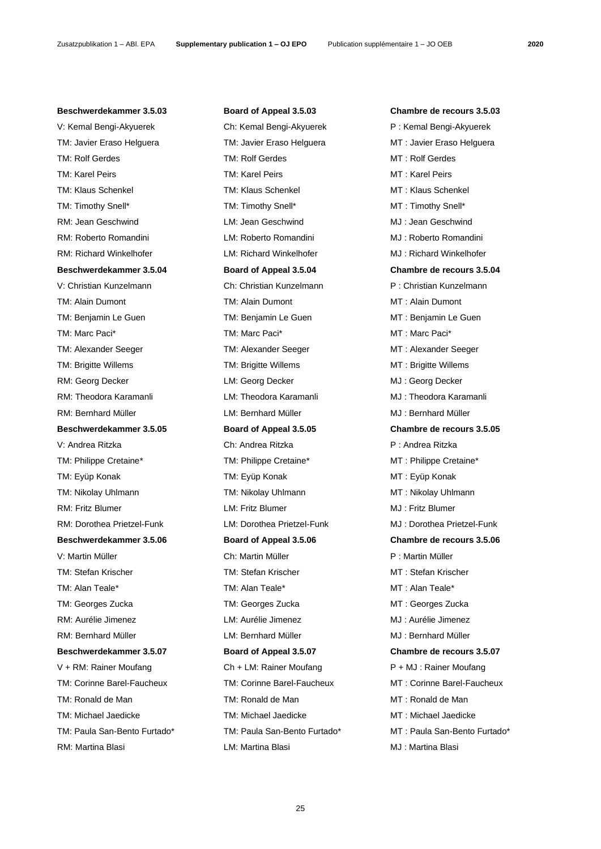# **Beschwerdekammer 3.5.03 Board of Appeal 3.5.03 Chambre de recours 3.5.03**

V: Kemal Bengi-Akyuerek Ch: Kemal Bengi-Akyuerek P : Kemal Bengi-Akyuerek TM: Javier Eraso Helguera TM: Javier Eraso Helguera MT : Javier Eraso Helguera TM: Rolf Gerdes TM: Rolf Gerdes TM: Rolf Gerdes MT: Rolf Gerdes TM: Karel Peirs TM: Karel Peirs MT : Karel Peirs TM: Klaus Schenkel TM: Klaus Schenkel MT : Klaus Schenkel TM: Timothy Snell\* TM: Timothy Snell\* MT : Timothy Snell\* RM: Jean Geschwind LM: Jean Geschwind MJ : Jean Geschwind RM: Roberto Romandini **Musicial Contract LM: Roberto Romandini** MJ : Roberto Romandini RM: Richard Winkelhofer **LM: Richard Winkelhofer** MJ: Richard Winkelhofer **Beschwerdekammer 3.5.04 Board of Appeal 3.5.04 Chambre de recours 3.5.04** V: Christian Kunzelmann Ch: Christian Kunzelmann P : Christian Kunzelmann TM: Alain Dumont TM: Alain Dumont MT : Alain Dumont TM: Benjamin Le Guen TM: Benjamin Le Guen MT : Benjamin Le Guen TM: Marc Paci\* TM: Marc Paci\* MT : Marc Paci\* TM: Alexander Seeger TM: Alexander Seeger TM: Alexander Seeger MT : Alexander Seeger TM: Brigitte Willems TM: Brigitte Willems MT : Brigitte Willems RM: Georg Decker **LM: Georg Decker CM**J : Georg Decker RM: Theodora Karamanli **LM: Theodora Karamanli** MJ : Theodora Karamanli RM: Bernhard Müller LM: Bernhard Müller MJ : Bernhard Müller **Beschwerdekammer 3.5.05 Board of Appeal 3.5.05 Chambre de recours 3.5.05** V: Andrea Ritzka Ch: Andrea Ritzka P : Andrea Ritzka TM: Philippe Cretaine\* TM: Philippe Cretaine\* MT : Philippe Cretaine\* TM: Eyüp Konak TM: Eyüp Konak TM: Eyüp Konak TM: Eyüp Konak TM: Eyüp Konak T TM: Nikolay Uhlmann TM: Nikolay Uhlmann MT : Nikolay Uhlmann RM: Fritz Blumer **LM: Fritz Blumer** LM: Fritz Blumer **MJ** : Fritz Blumer RM: Dorothea Prietzel-Funk LM: Dorothea Prietzel-Funk MJ : Dorothea Prietzel-Funk **Beschwerdekammer 3.5.06 Board of Appeal 3.5.06 Chambre de recours 3.5.06** V: Martin Müller Ch: Martin Müller P : Martin Müller TM: Stefan Krischer TM: Stefan Krischer MT : Stefan Krischer TM: Alan Teale\* TM: Alan Teale\* MT : Alan Teale\* TM: Georges Zucka TM: Georges Zucka MT : Georges Zucka RM: Aurélie Jimenez LM: Aurélie Jimenez MJ : Aurélie Jimenez RM: Bernhard Müller **LM: Bernhard Müller** MJ : Bernhard Müller **Beschwerdekammer 3.5.07 Board of Appeal 3.5.07 Chambre de recours 3.5.07** V + RM: Rainer Moufang Ch + LM: Rainer Moufang P + MJ: Rainer Moufang TM: Corinne Barel-Faucheux TM: Corinne Barel-Faucheux MT : Corinne Barel-Faucheux TM: Ronald de Man TM: Ronald de Man MT : Ronald de Man TM: Michael Jaedicke TM: Michael Jaedicke MT : Michael Jaedicke

# RM: Martina Blasi LM: Martina Blasi MJ : Martina Blasi

TM: Paula San-Bento Furtado\* TM: Paula San-Bento Furtado\* MT : Paula San-Bento Furtado\*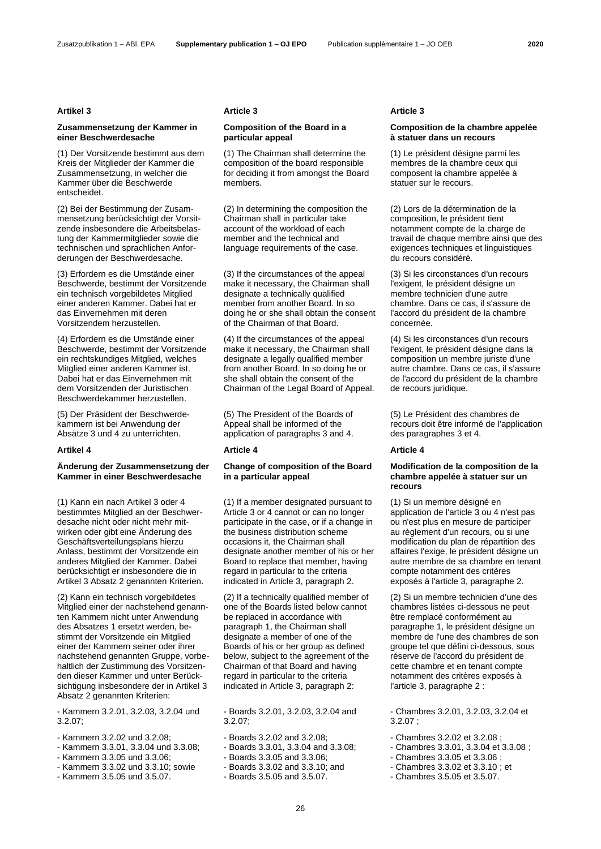# **Artikel 3 Article 3 Article 3**

# **Zusammensetzung der Kammer in einer Beschwerdesache**

(1) Der Vorsitzende bestimmt aus dem Kreis der Mitglieder der Kammer die Zusammensetzung, in welcher die Kammer über die Beschwerde entscheidet.

(2) Bei der Bestimmung der Zusammensetzung berücksichtigt der Vorsitzende insbesondere die Arbeitsbelastung der Kammermitglieder sowie die technischen und sprachlichen Anforderungen der Beschwerdesache.

(3) Erfordern es die Umstände einer Beschwerde, bestimmt der Vorsitzende ein technisch vorgebildetes Mitglied einer anderen Kammer. Dabei hat er das Einvernehmen mit deren Vorsitzendem herzustellen.

(4) Erfordern es die Umstände einer Beschwerde, bestimmt der Vorsitzende ein rechtskundiges Mitglied, welches Mitglied einer anderen Kammer ist. Dabei hat er das Einvernehmen mit dem Vorsitzenden der Juristischen Beschwerdekammer herzustellen.

(5) Der Präsident der Beschwerdekammern ist bei Anwendung der Absätze 3 und 4 zu unterrichten.

# **Artikel 4 Article 4 Article 4**

# **Änderung der Zusammensetzung der Kammer in einer Beschwerdesache**

(1) Kann ein nach Artikel 3 oder 4 bestimmtes Mitglied an der Beschwerdesache nicht oder nicht mehr mitwirken oder gibt eine Änderung des Geschäftsverteilungsplans hierzu Anlass, bestimmt der Vorsitzende ein anderes Mitglied der Kammer. Dabei berücksichtigt er insbesondere die in Artikel 3 Absatz 2 genannten Kriterien.

(2) Kann ein technisch vorgebildetes Mitglied einer der nachstehend genannten Kammern nicht unter Anwendung des Absatzes 1 ersetzt werden, bestimmt der Vorsitzende ein Mitglied einer der Kammern seiner oder ihrer nachstehend genannten Gruppe, vorbehaltlich der Zustimmung des Vorsitzenden dieser Kammer und unter Berücksichtigung insbesondere der in Artikel 3 Absatz 2 genannten Kriterien:

- Kammern 3.2.01, 3.2.03, 3.2.04 und 3.2.07;

- Kammern 3.2.02 und 3.2.08;
- Kammern 3.3.01, 3.3.04 und 3.3.08;
- Kammern 3.3.05 und 3.3.06;
- Kammern 3.3.02 und 3.3.10; sowie
- Kammern 3.5.05 und 3.5.07.

# **Composition of the Board in a particular appeal**

(1) The Chairman shall determine the composition of the board responsible for deciding it from amongst the Board members.

(2) In determining the composition the Chairman shall in particular take account of the workload of each member and the technical and language requirements of the case.

(3) If the circumstances of the appeal make it necessary, the Chairman shall designate a technically qualified member from another Board. In so doing he or she shall obtain the consent of the Chairman of that Board.

(4) If the circumstances of the appeal make it necessary, the Chairman shall designate a legally qualified member from another Board. In so doing he or she shall obtain the consent of the Chairman of the Legal Board of Appeal.

(5) The President of the Boards of Appeal shall be informed of the application of paragraphs 3 and 4.

# **Change of composition of the Board in a particular appeal**

(1) If a member designated pursuant to Article 3 or 4 cannot or can no longer participate in the case, or if a change in the business distribution scheme occasions it, the Chairman shall designate another member of his or her Board to replace that member, having regard in particular to the criteria indicated in Article 3, paragraph 2.

(2) If a technically qualified member of one of the Boards listed below cannot be replaced in accordance with paragraph 1, the Chairman shall designate a member of one of the Boards of his or her group as defined below, subject to the agreement of the Chairman of that Board and having regard in particular to the criteria indicated in Article 3, paragraph 2:

- Boards 3.2.01, 3.2.03, 3.2.04 and 3.2.07;

- Boards 3.2.02 and 3.2.08;
- Boards 3.3.01, 3.3.04 and 3.3.08;
- Boards 3.3.05 and 3.3.06;
- Boards 3.3.02 and 3.3.10; and
- Boards 3.5.05 and 3.5.07.

# **Composition de la chambre appelée à statuer dans un recours**

(1) Le président désigne parmi les membres de la chambre ceux qui composent la chambre appelée à statuer sur le recours.

(2) Lors de la détermination de la composition, le président tient notamment compte de la charge de travail de chaque membre ainsi que des exigences techniques et linguistiques du recours considéré.

(3) Si les circonstances d'un recours l'exigent, le président désigne un membre technicien d'une autre chambre. Dans ce cas, il s'assure de l'accord du président de la chambre concernée.

(4) Si les circonstances d'un recours l'exigent, le président désigne dans la composition un membre juriste d'une autre chambre. Dans ce cas, il s'assure de l'accord du président de la chambre de recours juridique.

(5) Le Président des chambres de recours doit être informé de l'application des paragraphes 3 et 4.

# **Modification de la composition de la chambre appelée à statuer sur un recours**

(1) Si un membre désigné en application de l'article 3 ou 4 n'est pas ou n'est plus en mesure de participer au règlement d'un recours, ou si une modification du plan de répartition des affaires l'exige, le président désigne un autre membre de sa chambre en tenant compte notamment des critères exposés à l'article 3, paragraphe 2.

(2) Si un membre technicien d'une des chambres listées ci-dessous ne peut être remplacé conformément au paragraphe 1, le président désigne un membre de l'une des chambres de son groupe tel que défini ci-dessous, sous réserve de l'accord du président de cette chambre et en tenant compte notamment des critères exposés à l'article 3, paragraphe 2 :

- Chambres 3.2.01, 3.2.03, 3.2.04 et 3.2.07 ;

- Chambres 3.2.02 et 3.2.08 ;
- Chambres 3.3.01, 3.3.04 et 3.3.08 ;
- Chambres 3.3.05 et 3.3.06 ;
- Chambres 3.3.02 et 3.3.10 ; et
- Chambres 3.5.05 et 3.5.07.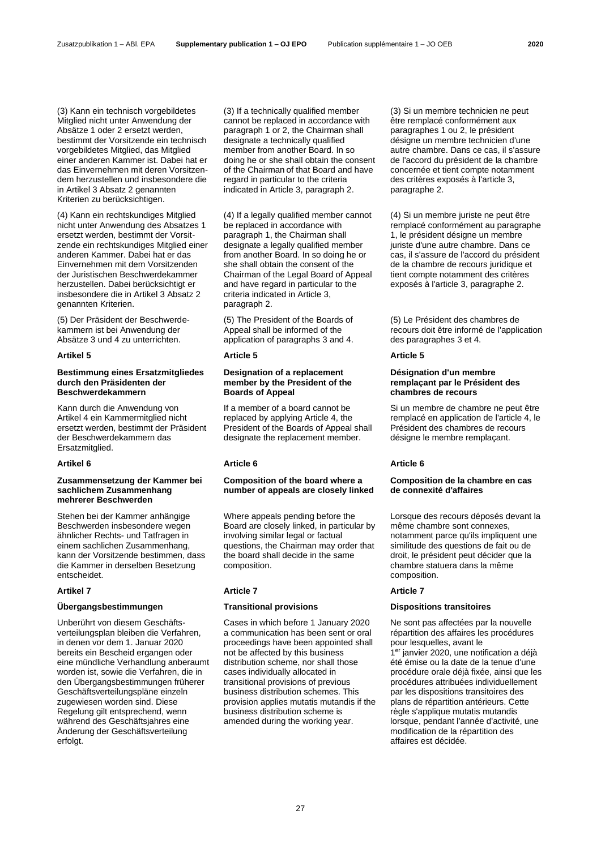(3) Kann ein technisch vorgebildetes Mitglied nicht unter Anwendung der Absätze 1 oder 2 ersetzt werden, bestimmt der Vorsitzende ein technisch vorgebildetes Mitglied, das Mitglied einer anderen Kammer ist. Dabei hat er das Einvernehmen mit deren Vorsitzendem herzustellen und insbesondere die in Artikel 3 Absatz 2 genannten Kriterien zu berücksichtigen.

(4) Kann ein rechtskundiges Mitglied nicht unter Anwendung des Absatzes 1 ersetzt werden, bestimmt der Vorsitzende ein rechtskundiges Mitglied einer anderen Kammer. Dabei hat er das Einvernehmen mit dem Vorsitzenden der Juristischen Beschwerdekammer herzustellen. Dabei berücksichtigt er insbesondere die in Artikel 3 Absatz 2 genannten Kriterien.

(5) Der Präsident der Beschwerdekammern ist bei Anwendung der Absätze 3 und 4 zu unterrichten.

# **Bestimmung eines Ersatzmitgliedes durch den Präsidenten der Beschwerdekammern**

Kann durch die Anwendung von Artikel 4 ein Kammermitglied nicht ersetzt werden, bestimmt der Präsident der Beschwerdekammern das Ersatzmitglied.

# **Artikel 6 Article 6 Article 6**

# **Zusammensetzung der Kammer bei sachlichem Zusammenhang mehrerer Beschwerden**

Stehen bei der Kammer anhängige Beschwerden insbesondere wegen ähnlicher Rechts- und Tatfragen in einem sachlichen Zusammenhang, kann der Vorsitzende bestimmen, dass die Kammer in derselben Besetzung entscheidet.

# **Übergangsbestimmungen Transitional provisions Dispositions transitoires**

Unberührt von diesem Geschäftsverteilungsplan bleiben die Verfahren, in denen vor dem 1. Januar 2020 bereits ein Bescheid ergangen oder eine mündliche Verhandlung anberaumt worden ist, sowie die Verfahren, die in den Übergangsbestimmungen früherer Geschäftsverteilungspläne einzeln zugewiesen worden sind. Diese Regelung gilt entsprechend, wenn während des Geschäftsjahres eine Änderung der Geschäftsverteilung erfolgt.

(3) If a technically qualified member cannot be replaced in accordance with paragraph 1 or 2, the Chairman shall designate a technically qualified member from another Board. In so doing he or she shall obtain the consent of the Chairman of that Board and have regard in particular to the criteria indicated in Article 3, paragraph 2.

(4) If a legally qualified member cannot be replaced in accordance with paragraph 1, the Chairman shall designate a legally qualified member from another Board. In so doing he or she shall obtain the consent of the Chairman of the Legal Board of Appeal and have regard in particular to the criteria indicated in Article 3, paragraph 2.

(5) The President of the Boards of Appeal shall be informed of the application of paragraphs 3 and 4.

# **Artikel 5 Article 5 Article 5**

# **Designation of a replacement member by the President of the Boards of Appeal**

If a member of a board cannot be replaced by applying Article 4, the President of the Boards of Appeal shall designate the replacement member.

# **Composition of the board where a number of appeals are closely linked**

Where appeals pending before the Board are closely linked, in particular by involving similar legal or factual questions, the Chairman may order that the board shall decide in the same composition.

# **Artikel 7 Article 7 Article 7**

Cases in which before 1 January 2020 a communication has been sent or oral proceedings have been appointed shall not be affected by this business distribution scheme, nor shall those cases individually allocated in transitional provisions of previous business distribution schemes. This provision applies mutatis mutandis if the business distribution scheme is amended during the working year.

(3) Si un membre technicien ne peut être remplacé conformément aux paragraphes 1 ou 2, le président désigne un membre technicien d'une autre chambre. Dans ce cas, il s'assure de l'accord du président de la chambre concernée et tient compte notamment des critères exposés à l'article 3, paragraphe 2.

(4) Si un membre juriste ne peut être remplacé conformément au paragraphe 1, le président désigne un membre juriste d'une autre chambre. Dans ce cas, il s'assure de l'accord du président de la chambre de recours juridique et tient compte notamment des critères exposés à l'article 3, paragraphe 2.

(5) Le Président des chambres de recours doit être informé de l'application des paragraphes 3 et 4.

# **Désignation d'un membre remplaçant par le Président des chambres de recours**

Si un membre de chambre ne peut être remplacé en application de l'article 4, le Président des chambres de recours désigne le membre remplaçant.

# **Composition de la chambre en cas de connexité d'affaires**

Lorsque des recours déposés devant la même chambre sont connexes, notamment parce qu'ils impliquent une similitude des questions de fait ou de droit, le président peut décider que la chambre statuera dans la même composition.

Ne sont pas affectées par la nouvelle répartition des affaires les procédures pour lesquelles, avant le 1 er janvier 2020, une notification a déjà été émise ou la date de la tenue d'une procédure orale déjà fixée, ainsi que les procédures attribuées individuellement par les dispositions transitoires des plans de répartition antérieurs. Cette règle s'applique mutatis mutandis lorsque, pendant l'année d'activité, une modification de la répartition des affaires est décidée.